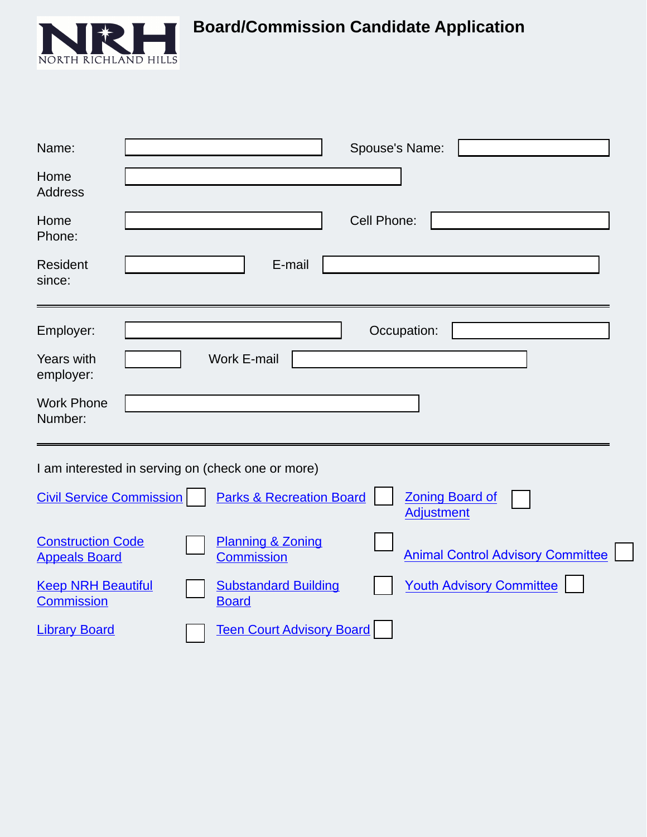

## **Board/Commission Candidate Application**

| Name:                                             | Spouse's Name:                                                                                |  |  |  |
|---------------------------------------------------|-----------------------------------------------------------------------------------------------|--|--|--|
| Home<br><b>Address</b>                            |                                                                                               |  |  |  |
| Home<br>Phone:                                    | Cell Phone:                                                                                   |  |  |  |
| Resident<br>since:                                | E-mail                                                                                        |  |  |  |
| Employer:                                         | Occupation:                                                                                   |  |  |  |
| Years with<br>employer:                           | <b>Work E-mail</b>                                                                            |  |  |  |
| <b>Work Phone</b><br>Number:                      |                                                                                               |  |  |  |
| I am interested in serving on (check one or more) |                                                                                               |  |  |  |
| <b>Civil Service Commission</b>                   | <b>Zoning Board of</b><br><b>Parks &amp; Recreation Board</b><br><b>Adjustment</b>            |  |  |  |
| <b>Construction Code</b><br><b>Appeals Board</b>  | <b>Planning &amp; Zoning</b><br><b>Animal Control Advisory Committee</b><br><b>Commission</b> |  |  |  |
| <b>Keep NRH Beautiful</b><br><b>Commission</b>    | <b>Youth Advisory Committee</b><br><b>Substandard Building</b><br><b>Board</b>                |  |  |  |
| <b>Library Board</b>                              | <b>Teen Court Advisory Board</b>                                                              |  |  |  |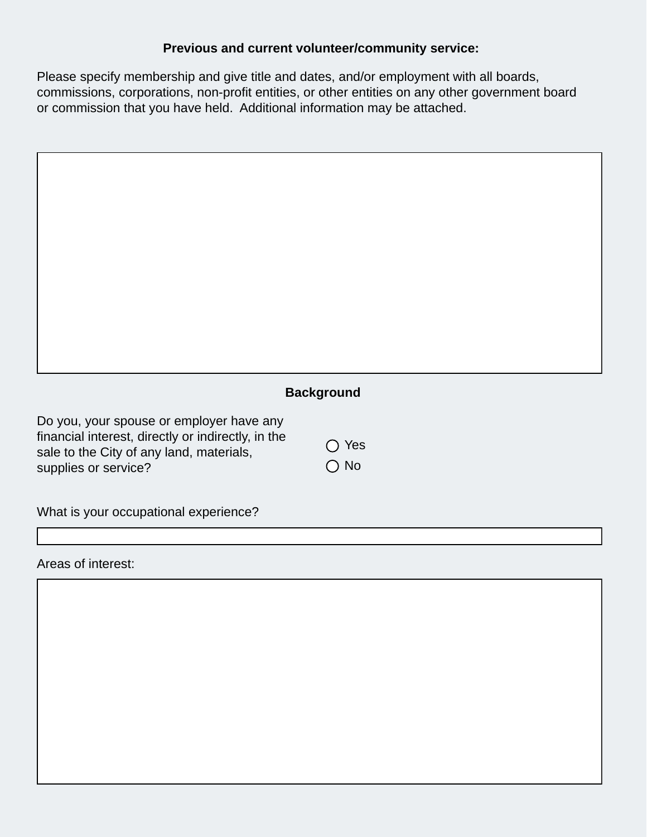## **Previous and current volunteer/community service:**

Please specify membership and give title and dates, and/or employment with all boards, commissions, corporations, non-profit entities, or other entities on any other government board or commission that you have held. Additional information may be attached.

|                                                                                                                                                                    | <b>Background</b>    |
|--------------------------------------------------------------------------------------------------------------------------------------------------------------------|----------------------|
| Do you, your spouse or employer have any<br>financial interest, directly or indirectly, in the<br>sale to the City of any land, materials,<br>supplies or service? | Yes<br>$\bigcirc$ No |
| What is your occupational experience?                                                                                                                              |                      |

Areas of interest: